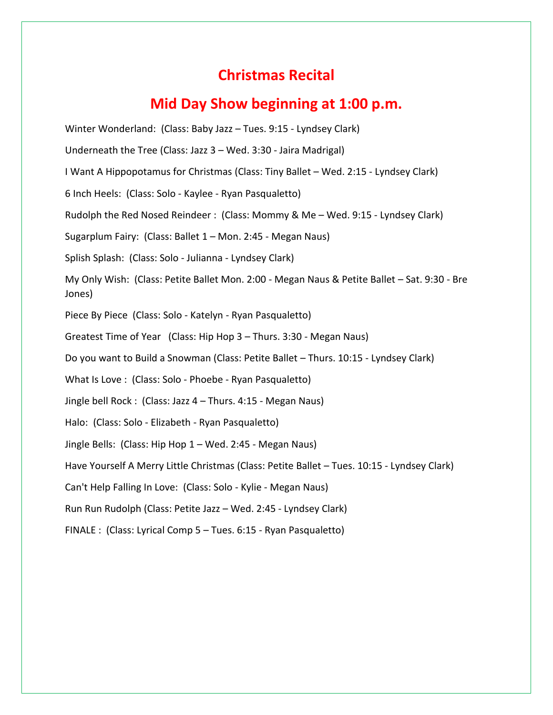## **Christmas Recital**

## **Mid Day Show beginning at 1:00 p.m.**

Winter Wonderland: (Class: Baby Jazz – Tues. 9:15 - Lyndsey Clark) Underneath the Tree (Class: Jazz 3 – Wed. 3:30 - Jaira Madrigal) I Want A Hippopotamus for Christmas (Class: Tiny Ballet – Wed. 2:15 - Lyndsey Clark) 6 Inch Heels: (Class: Solo - Kaylee - Ryan Pasqualetto) Rudolph the Red Nosed Reindeer : (Class: Mommy & Me – Wed. 9:15 - Lyndsey Clark) Sugarplum Fairy: (Class: Ballet 1 – Mon. 2:45 - Megan Naus) Splish Splash: (Class: Solo - Julianna - Lyndsey Clark) My Only Wish: (Class: Petite Ballet Mon. 2:00 - Megan Naus & Petite Ballet – Sat. 9:30 - Bre Jones) Piece By Piece (Class: Solo - Katelyn - Ryan Pasqualetto) Greatest Time of Year (Class: Hip Hop 3 – Thurs. 3:30 - Megan Naus) Do you want to Build a Snowman (Class: Petite Ballet – Thurs. 10:15 - Lyndsey Clark) What Is Love : (Class: Solo - Phoebe - Ryan Pasqualetto) Jingle bell Rock : (Class: Jazz 4 – Thurs. 4:15 - Megan Naus) Halo: (Class: Solo - Elizabeth - Ryan Pasqualetto) Jingle Bells: (Class: Hip Hop 1 – Wed. 2:45 - Megan Naus) Have Yourself A Merry Little Christmas (Class: Petite Ballet – Tues. 10:15 - Lyndsey Clark) Can't Help Falling In Love: (Class: Solo - Kylie - Megan Naus) Run Run Rudolph (Class: Petite Jazz – Wed. 2:45 - Lyndsey Clark) FINALE : (Class: Lyrical Comp 5 – Tues. 6:15 - Ryan Pasqualetto)